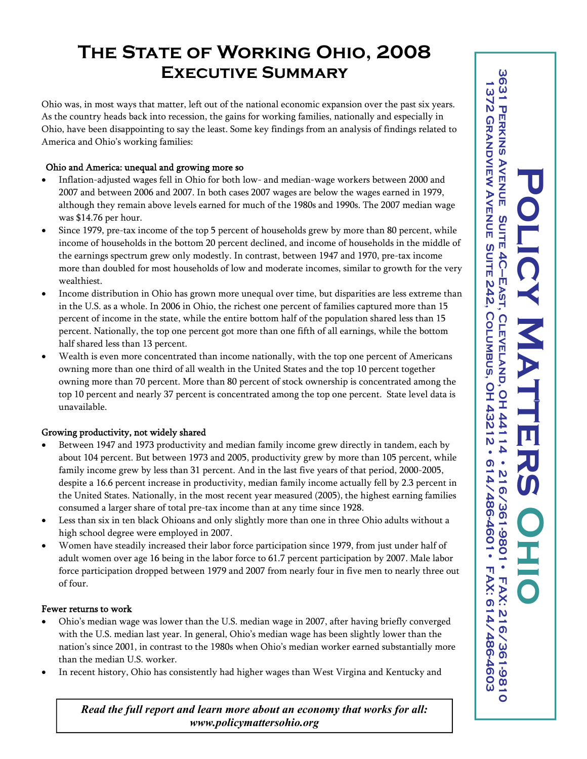# **The State of Working Ohio, 2008 Executive Summary**

Ohio was, in most ways that matter, left out of the national economic expansion over the past six years. As the country heads back into recession, the gains for working families, nationally and especially in Ohio, have been disappointing to say the least. Some key findings from an analysis of findings related to America and Ohio's working families:

### Ohio and America: unequal and growing more so

- Inflation-adjusted wages fell in Ohio for both low- and median-wage workers between 2000 and 2007 and between 2006 and 2007. In both cases 2007 wages are below the wages earned in 1979, although they remain above levels earned for much of the 1980s and 1990s. The 2007 median wage was \$14.76 per hour.
- Since 1979, pre-tax income of the top 5 percent of households grew by more than 80 percent, while income of households in the bottom 20 percent declined, and income of households in the middle of the earnings spectrum grew only modestly. In contrast, between 1947 and 1970, pre-tax income more than doubled for most households of low and moderate incomes, similar to growth for the very wealthiest.
- Income distribution in Ohio has grown more unequal over time, but disparities are less extreme than in the U.S. as a whole. In 2006 in Ohio, the richest one percent of families captured more than 15 percent of income in the state, while the entire bottom half of the population shared less than 15 percent. Nationally, the top one percent got more than one fifth of all earnings, while the bottom half shared less than 13 percent.
- Wealth is even more concentrated than income nationally, with the top one percent of Americans owning more than one third of all wealth in the United States and the top 10 percent together owning more than 70 percent. More than 80 percent of stock ownership is concentrated among the top 10 percent and nearly 37 percent is concentrated among the top one percent. State level data is unavailable.

## Growing productivity, not widely shared

- Between 1947 and 1973 productivity and median family income grew directly in tandem, each by about 104 percent. But between 1973 and 2005, productivity grew by more than 105 percent, while family income grew by less than 31 percent. And in the last five years of that period, 2000-2005, despite a 16.6 percent increase in productivity, median family income actually fell by 2.3 percent in the United States. Nationally, in the most recent year measured (2005), the highest earning families consumed a larger share of total pre-tax income than at any time since 1928.
- Less than six in ten black Ohioans and only slightly more than one in three Ohio adults without a high school degree were employed in 2007.
- Women have steadily increased their labor force participation since 1979, from just under half of adult women over age 16 being in the labor force to 61.7 percent participation by 2007. Male labor force participation dropped between 1979 and 2007 from nearly four in five men to nearly three out of four.

### Fewer returns to work

- Ohio's median wage was lower than the U.S. median wage in 2007, after having briefly converged with the U.S. median last year. In general, Ohio's median wage has been slightly lower than the nation's since 2001, in contrast to the 1980s when Ohio's median worker earned substantially more than the median U.S. worker.
- In recent history, Ohio has consistently had higher wages than West Virgina and Kentucky and

*Read the full report and learn more about an economy that works for all: www.policymattersohio.org*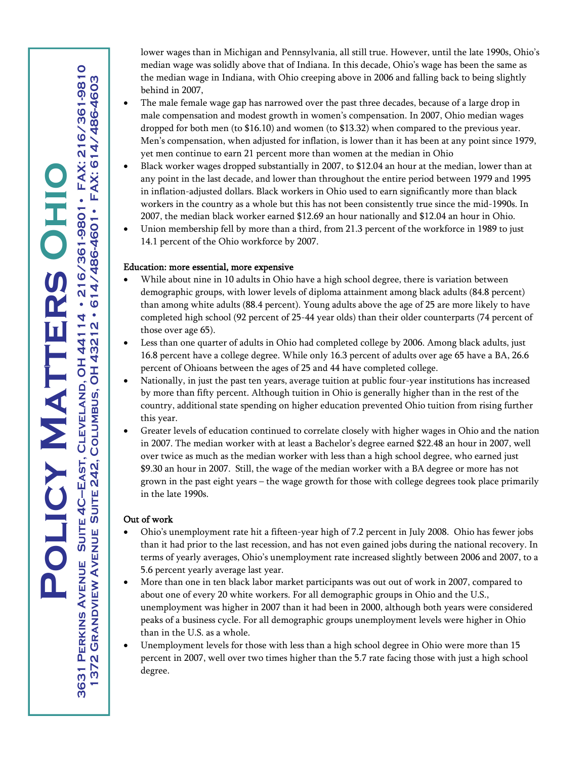lower wages than in Michigan and Pennsylvania, all still true. However, until the late 1990s, Ohio's median wage was solidly above that of Indiana. In this decade, Ohio's wage has been the same as the median wage in Indiana, with Ohio creeping above in 2006 and falling back to being slightly behind in 2007,

- The male female wage gap has narrowed over the past three decades, because of a large drop in male compensation and modest growth in women's compensation. In 2007, Ohio median wages dropped for both men (to \$16.10) and women (to \$13.32) when compared to the previous year. Men's compensation, when adjusted for inflation, is lower than it has been at any point since 1979, yet men continue to earn 21 percent more than women at the median in Ohio
- Black worker wages dropped substantially in 2007, to \$12.04 an hour at the median, lower than at any point in the last decade, and lower than throughout the entire period between 1979 and 1995 in inflation-adjusted dollars. Black workers in Ohio used to earn significantly more than black workers in the country as a whole but this has not been consistently true since the mid-1990s. In 2007, the median black worker earned \$12.69 an hour nationally and \$12.04 an hour in Ohio.
- Union membership fell by more than a third, from 21.3 percent of the workforce in 1989 to just 14.1 percent of the Ohio workforce by 2007.

#### Education: more essential, more expensive

- While about nine in 10 adults in Ohio have a high school degree, there is variation between demographic groups, with lower levels of diploma attainment among black adults (84.8 percent) than among white adults (88.4 percent). Young adults above the age of 25 are more likely to have completed high school (92 percent of 25-44 year olds) than their older counterparts (74 percent of those over age 65).
- Less than one quarter of adults in Ohio had completed college by 2006. Among black adults, just 16.8 percent have a college degree. While only 16.3 percent of adults over age 65 have a BA, 26.6 percent of Ohioans between the ages of 25 and 44 have completed college.
- Nationally, in just the past ten years, average tuition at public four-year institutions has increased by more than fifty percent. Although tuition in Ohio is generally higher than in the rest of the country, additional state spending on higher education prevented Ohio tuition from rising further this year.
- Greater levels of education continued to correlate closely with higher wages in Ohio and the nation in 2007. The median worker with at least a Bachelor's degree earned \$22.48 an hour in 2007, well over twice as much as the median worker with less than a high school degree, who earned just \$9.30 an hour in 2007. Still, the wage of the median worker with a BA degree or more has not grown in the past eight years – the wage growth for those with college degrees took place primarily in the late 1990s.

### Out of work

- Ohio's unemployment rate hit a fifteen-year high of 7.2 percent in July 2008. Ohio has fewer jobs than it had prior to the last recession, and has not even gained jobs during the national recovery. In terms of yearly averages, Ohio's unemployment rate increased slightly between 2006 and 2007, to a 5.6 percent yearly average last year.
- More than one in ten black labor market participants was out out of work in 2007, compared to about one of every 20 white workers. For all demographic groups in Ohio and the U.S., unemployment was higher in 2007 than it had been in 2000, although both years were considered peaks of a business cycle. For all demographic groups unemployment levels were higher in Ohio than in the U.S. as a whole.
- Unemployment levels for those with less than a high school degree in Ohio were more than 15 percent in 2007, well over two times higher than the 5.7 rate facing those with just a high school degree.

**3631 Perkins Avenue Suite 4C—East, Cleveland, OH 44114 • 216/361-9801• FAX: 216/361-9810**  CLEVELAND, OH 44114 . 216/361-9801 . FAX: 216/361-9810 **Policy Matters Ohio LICA NATIO** SUITE 4C-EAST, 3631 PERKINS AVENUE

**1372 Grandview Avenue Suite 242, Columbus, OH 43212 • 614/486-4601• FAX: 614/486-4603** 

COLUMBUS,

**SUITE 242.** 

372 GRANDVIEW AVENUE

**OH 43212** 

FAX: 614/486-4603

614/486-4601 .

 $\bullet$